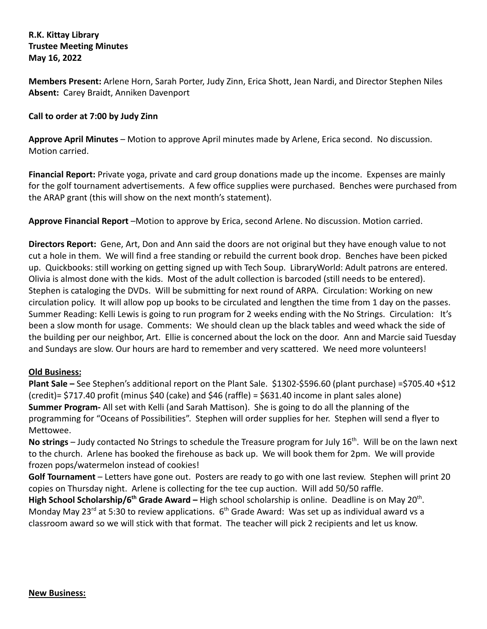# **R.K. Kittay Library Trustee Meeting Minutes May 16, 2022**

**Members Present:** Arlene Horn, Sarah Porter, Judy Zinn, Erica Shott, Jean Nardi, and Director Stephen Niles **Absent:** Carey Braidt, Anniken Davenport

# **Call to order at 7:00 by Judy Zinn**

**Approve April Minutes** – Motion to approve April minutes made by Arlene, Erica second. No discussion. Motion carried.

**Financial Report:** Private yoga, private and card group donations made up the income. Expenses are mainly for the golf tournament advertisements. A few office supplies were purchased. Benches were purchased from the ARAP grant (this will show on the next month's statement).

**Approve Financial Report** –Motion to approve by Erica, second Arlene. No discussion. Motion carried.

**Directors Report:** Gene, Art, Don and Ann said the doors are not original but they have enough value to not cut a hole in them. We will find a free standing or rebuild the current book drop. Benches have been picked up. Quickbooks: still working on getting signed up with Tech Soup. LibraryWorld: Adult patrons are entered. Olivia is almost done with the kids. Most of the adult collection is barcoded (still needs to be entered). Stephen is cataloging the DVDs. Will be submitting for next round of ARPA. Circulation: Working on new circulation policy. It will allow pop up books to be circulated and lengthen the time from 1 day on the passes. Summer Reading: Kelli Lewis is going to run program for 2 weeks ending with the No Strings. Circulation: It's been a slow month for usage. Comments: We should clean up the black tables and weed whack the side of the building per our neighbor, Art. Ellie is concerned about the lock on the door. Ann and Marcie said Tuesday and Sundays are slow. Our hours are hard to remember and very scattered. We need more volunteers!

#### **Old Business:**

**Plant Sale –** See Stephen's additional report on the Plant Sale. \$1302-\$596.60 (plant purchase) =\$705.40 +\$12 (credit)= \$717.40 profit (minus \$40 (cake) and \$46 (raffle) = \$631.40 income in plant sales alone) **Summer Program-** All set with Kelli (and Sarah Mattison). She is going to do all the planning of the programming for "Oceans of Possibilities". Stephen will order supplies for her. Stephen will send a flyer to Mettowee.

No strings – Judy contacted No Strings to schedule the Treasure program for July 16<sup>th</sup>. Will be on the lawn next to the church. Arlene has booked the firehouse as back up. We will book them for 2pm. We will provide frozen pops/watermelon instead of cookies!

**Golf Tournament** – Letters have gone out. Posters are ready to go with one last review. Stephen will print 20 copies on Thursday night. Arlene is collecting for the tee cup auction. Will add 50/50 raffle.

High School Scholarship/6<sup>th</sup> Grade Award – High school scholarship is online. Deadline is on May 20<sup>th</sup>. Monday May 23<sup>rd</sup> at 5:30 to review applications.  $6<sup>th</sup>$  Grade Award: Was set up as individual award vs a classroom award so we will stick with that format. The teacher will pick 2 recipients and let us know.